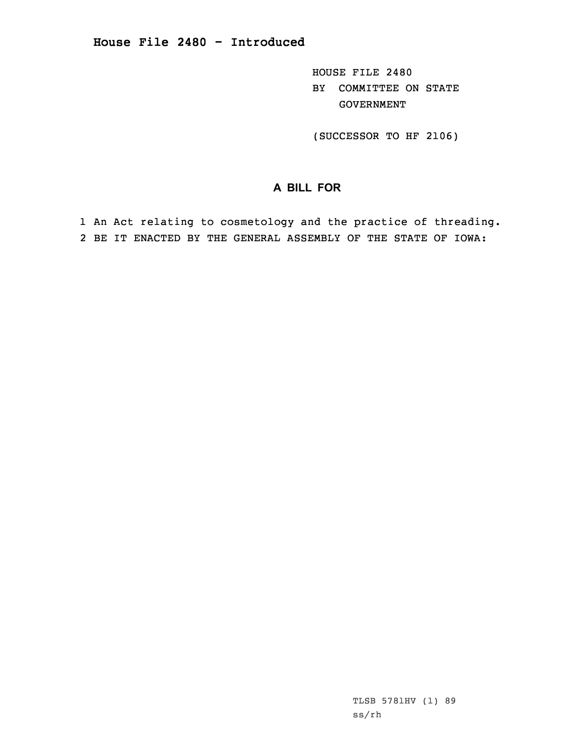HOUSE FILE 2480 BY COMMITTEE ON STATE GOVERNMENT

(SUCCESSOR TO HF 2106)

## **A BILL FOR**

1 An Act relating to cosmetology and the practice of threading. 2 BE IT ENACTED BY THE GENERAL ASSEMBLY OF THE STATE OF IOWA: